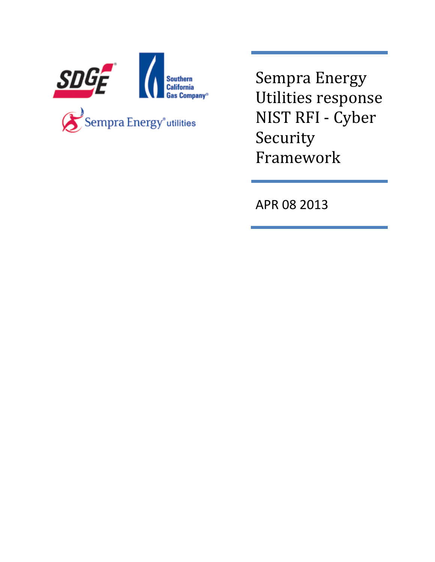

Sempra Energy Utilities response NIST RFI - Cyber Security Framework

APR 08 2013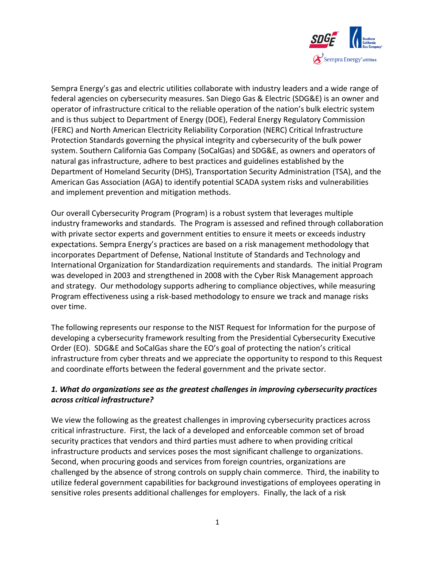

Sempra Energy's gas and electric utilities collaborate with industry leaders and a wide range of federal agencies on cybersecurity measures. San Diego Gas & Electric (SDG&E) is an owner and operator of infrastructure critical to the reliable operation of the nation's bulk electric system and is thus subject to Department of Energy (DOE), Federal Energy Regulatory Commission (FERC) and North American Electricity Reliability Corporation (NERC) Critical Infrastructure Protection Standards governing the physical integrity and cybersecurity of the bulk power system. Southern California Gas Company (SoCalGas) and SDG&E, as owners and operators of natural gas infrastructure, adhere to best practices and guidelines established by the Department of Homeland Security (DHS), Transportation Security Administration (TSA), and the American Gas Association (AGA) to identify potential SCADA system risks and vulnerabilities and implement prevention and mitigation methods.

Our overall Cybersecurity Program (Program) is a robust system that leverages multiple industry frameworks and standards. The Program is assessed and refined through collaboration with private sector experts and government entities to ensure it meets or exceeds industry expectations. Sempra Energy's practices are based on a risk management methodology that incorporates Department of Defense, National Institute of Standards and Technology and International Organization for Standardization requirements and standards. The initial Program was developed in 2003 and strengthened in 2008 with the Cyber Risk Management approach and strategy. Our methodology supports adhering to compliance objectives, while measuring Program effectiveness using a risk-based methodology to ensure we track and manage risks over time.

The following represents our response to the NIST Request for Information for the purpose of developing a cybersecurity framework resulting from the Presidential Cybersecurity Executive Order (EO). SDG&E and SoCalGas share the EO's goal of protecting the nation's critical infrastructure from cyber threats and we appreciate the opportunity to respond to this Request and coordinate efforts between the federal government and the private sector.

# *1. What do organizations see as the greatest challenges in improving cybersecurity practices across critical infrastructure?*

We view the following as the greatest challenges in improving cybersecurity practices across critical infrastructure. First, the lack of a developed and enforceable common set of broad security practices that vendors and third parties must adhere to when providing critical infrastructure products and services poses the most significant challenge to organizations. Second, when procuring goods and services from foreign countries, organizations are challenged by the absence of strong controls on supply chain commerce. Third, the inability to utilize federal government capabilities for background investigations of employees operating in sensitive roles presents additional challenges for employers. Finally, the lack of a risk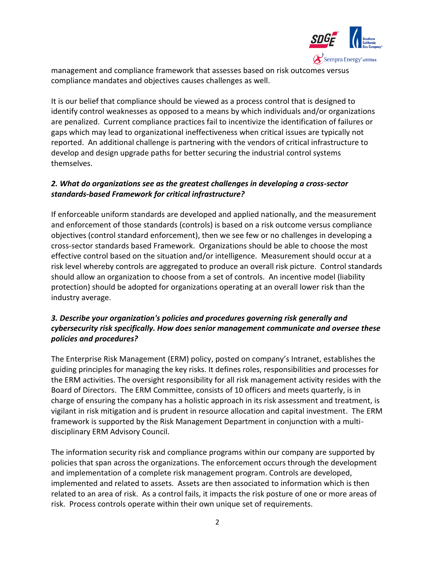

management and compliance framework that assesses based on risk outcomes versus compliance mandates and objectives causes challenges as well.

It is our belief that compliance should be viewed as a process control that is designed to identify control weaknesses as opposed to a means by which individuals and/or organizations are penalized. Current compliance practices fail to incentivize the identification of failures or gaps which may lead to organizational ineffectiveness when critical issues are typically not reported. An additional challenge is partnering with the vendors of critical infrastructure to develop and design upgrade paths for better securing the industrial control systems themselves.

### *2. What do organizations see as the greatest challenges in developing a cross-sector standards-based Framework for critical infrastructure?*

If enforceable uniform standards are developed and applied nationally, and the measurement and enforcement of those standards (controls) is based on a risk outcome versus compliance objectives (control standard enforcement), then we see few or no challenges in developing a cross-sector standards based Framework. Organizations should be able to choose the most effective control based on the situation and/or intelligence. Measurement should occur at a risk level whereby controls are aggregated to produce an overall risk picture. Control standards should allow an organization to choose from a set of controls. An incentive model (liability protection) should be adopted for organizations operating at an overall lower risk than the industry average.

# *3. Describe your organization's policies and procedures governing risk generally and cybersecurity risk specifically. How does senior management communicate and oversee these policies and procedures?*

The Enterprise Risk Management (ERM) policy, posted on company's Intranet, establishes the guiding principles for managing the key risks. It defines roles, responsibilities and processes for the ERM activities. The oversight responsibility for all risk management activity resides with the Board of Directors. The ERM Committee, consists of 10 officers and meets quarterly, is in charge of ensuring the company has a holistic approach in its risk assessment and treatment, is vigilant in risk mitigation and is prudent in resource allocation and capital investment. The ERM framework is supported by the Risk Management Department in conjunction with a multidisciplinary ERM Advisory Council.

The information security risk and compliance programs within our company are supported by policies that span across the organizations. The enforcement occurs through the development and implementation of a complete risk management program. Controls are developed, implemented and related to assets. Assets are then associated to information which is then related to an area of risk. As a control fails, it impacts the risk posture of one or more areas of risk. Process controls operate within their own unique set of requirements.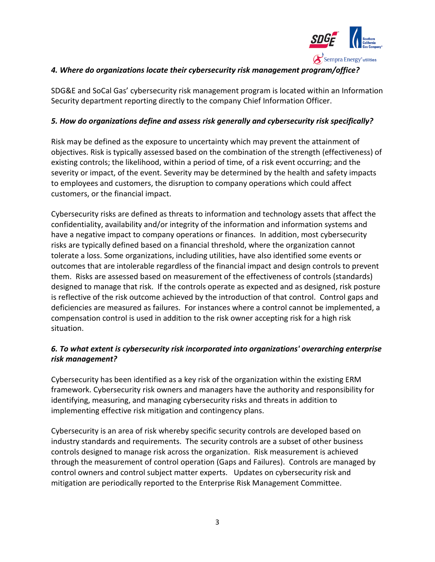

#### *4. Where do organizations locate their cybersecurity risk management program/office?*

SDG&E and SoCal Gas' cybersecurity risk management program is located within an Information Security department reporting directly to the company Chief Information Officer.

#### *5. How do organizations define and assess risk generally and cybersecurity risk specifically?*

Risk may be defined as the exposure to uncertainty which may prevent the attainment of objectives. Risk is typically assessed based on the combination of the strength (effectiveness) of existing controls; the likelihood, within a period of time, of a risk event occurring; and the severity or impact, of the event. Severity may be determined by the health and safety impacts to employees and customers, the disruption to company operations which could affect customers, or the financial impact.

Cybersecurity risks are defined as threats to information and technology assets that affect the confidentiality, availability and/or integrity of the information and information systems and have a negative impact to company operations or finances. In addition, most cybersecurity risks are typically defined based on a financial threshold, where the organization cannot tolerate a loss. Some organizations, including utilities, have also identified some events or outcomes that are intolerable regardless of the financial impact and design controls to prevent them. Risks are assessed based on measurement of the effectiveness of controls (standards) designed to manage that risk. If the controls operate as expected and as designed, risk posture is reflective of the risk outcome achieved by the introduction of that control. Control gaps and deficiencies are measured as failures. For instances where a control cannot be implemented, a compensation control is used in addition to the risk owner accepting risk for a high risk situation.

# *6. To what extent is cybersecurity risk incorporated into organizations' overarching enterprise risk management?*

Cybersecurity has been identified as a key risk of the organization within the existing ERM framework. Cybersecurity risk owners and managers have the authority and responsibility for identifying, measuring, and managing cybersecurity risks and threats in addition to implementing effective risk mitigation and contingency plans.

Cybersecurity is an area of risk whereby specific security controls are developed based on industry standards and requirements. The security controls are a subset of other business controls designed to manage risk across the organization. Risk measurement is achieved through the measurement of control operation (Gaps and Failures). Controls are managed by control owners and control subject matter experts. Updates on cybersecurity risk and mitigation are periodically reported to the Enterprise Risk Management Committee.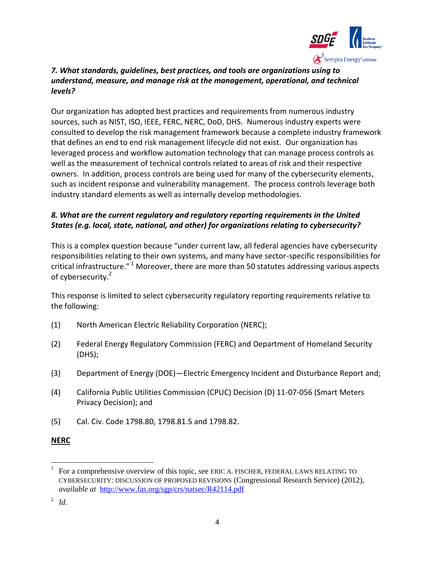

# *7. What standards, guidelines, best practices, and tools are organizations using to understand, measure, and manage risk at the management, operational, and technical levels?*

Our organization has adopted best practices and requirements from numerous industry sources, such as NIST, ISO, IEEE, FERC, NERC, DoD, DHS. Numerous industry experts were consulted to develop the risk management framework because a complete industry framework that defines an end to end risk management lifecycle did not exist. Our organization has leveraged process and workflow automation technology that can manage process controls as well as the measurement of technical controls related to areas of risk and their respective owners. In addition, process controls are being used for many of the cybersecurity elements, such as incident response and vulnerability management. The process controls leverage both industry standard elements as well as internally develop methodologies.

# *8. What are the current regulatory and regulatory reporting requirements in the United States (e.g. local, state, national, and other) for organizations relating to cybersecurity?*

This is a complex question because "under current law, all federal agencies have cybersecurity responsibilities relating to their own systems, and many have sector-specific responsibilities for critical infrastructure." <sup>1</sup> Moreover, there are more than 50 statutes addressing various aspects of cybersecurity.<sup>2</sup>

This response is limited to select cybersecurity regulatory reporting requirements relative to the following:

- (1) North American Electric Reliability Corporation (NERC);
- (2) Federal Energy Regulatory Commission (FERC) and Department of Homeland Security (DHS);
- (3) Department of Energy (DOE)—Electric Emergency Incident and Disturbance Report and;
- (4) California Public Utilities Commission (CPUC) Decision (D) 11-07-056 (Smart Meters Privacy Decision); and
- (5) Cal. Civ. Code 1798.80, 1798.81.5 and 1798.82.

# **NERC**

l

<sup>1</sup> For a comprehensive overview of this topic, see ERIC A. FISCHER, FEDERAL LAWS RELATING TO CYBERSECURITY: DISCUSSION OF PROPOSED REVISIONS (Congressional Research Service) (2012), *available at* <http://www.fas.org/sgp/crs/natsec/R42114.pdf>

<sup>2</sup> *Id.*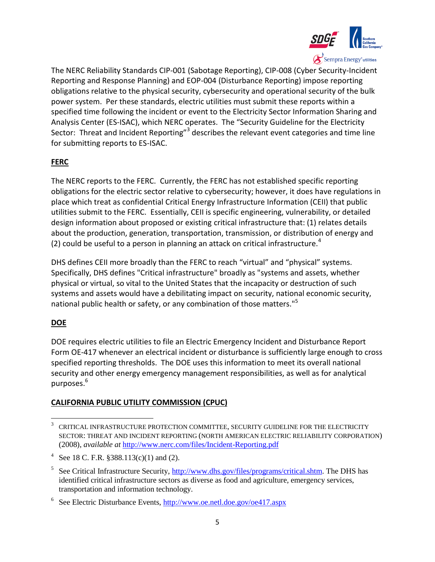

The NERC Reliability Standards CIP-001 (Sabotage Reporting), CIP-008 (Cyber Security-Incident Reporting and Response Planning) and EOP-004 (Disturbance Reporting) impose reporting obligations relative to the physical security, cybersecurity and operational security of the bulk power system. Per these standards, electric utilities must submit these reports within a specified time following the incident or event to the Electricity Sector Information Sharing and Analysis Center (ES-ISAC), which NERC operates. The "Security Guideline for the Electricity Sector: Threat and Incident Reporting"<sup>3</sup> describes the relevant event categories and time line for submitting reports to ES-ISAC.

# **FERC**

The NERC reports to the FERC. Currently, the FERC has not established specific reporting obligations for the electric sector relative to cybersecurity; however, it does have regulations in place which treat as confidential Critical Energy Infrastructure Information (CEII) that public utilities submit to the FERC. Essentially, CEII is specific engineering, vulnerability, or detailed design information about proposed or existing critical infrastructure that: (1) relates details about the production, generation, transportation, transmission, or distribution of energy and (2) could be useful to a person in planning an attack on critical infrastructure.<sup>4</sup>

DHS defines CEII more broadly than the FERC to reach "virtual" and "physical" systems. Specifically, DHS defines "Critical infrastructure" broadly as "systems and assets, whether physical or virtual, so vital to the United States that the incapacity or destruction of such systems and assets would have a debilitating impact on security, national economic security, national public health or safety, or any combination of those matters."<sup>5</sup>

### **DOE**

DOE requires electric utilities to file an Electric Emergency Incident and Disturbance Report Form OE-417 whenever an electrical incident or disturbance is sufficiently large enough to cross specified reporting thresholds. The DOE uses this information to meet its overall national security and other energy emergency management responsibilities, as well as for analytical purposes.<sup>6</sup>

### **CALIFORNIA PUBLIC UTILITY COMMISSION (CPUC)**

5 See Critical Infrastructure Security, [http://www.dhs.gov/files/programs/critical.shtm.](http://www.dhs.gov/files/programs/critical.shtm) The DHS has identified critical infrastructure sectors as diverse as food and agriculture, emergency services, transportation and information technology.

 $\overline{\phantom{a}}$ 3 CRITICAL INFRASTRUCTURE PROTECTION COMMITTEE, SECURITY GUIDELINE FOR THE ELECTRICITY SECTOR: THREAT AND INCIDENT REPORTING (NORTH AMERICAN ELECTRIC RELIABILITY CORPORATION) (2008), *available at* <http://www.nerc.com/files/Incident-Reporting.pdf>

<sup>&</sup>lt;sup>4</sup> See 18 C. F.R.  $$388.113(c)(1)$  and (2).

<sup>&</sup>lt;sup>6</sup> See Electric Disturbance Events,<http://www.oe.netl.doe.gov/oe417.aspx>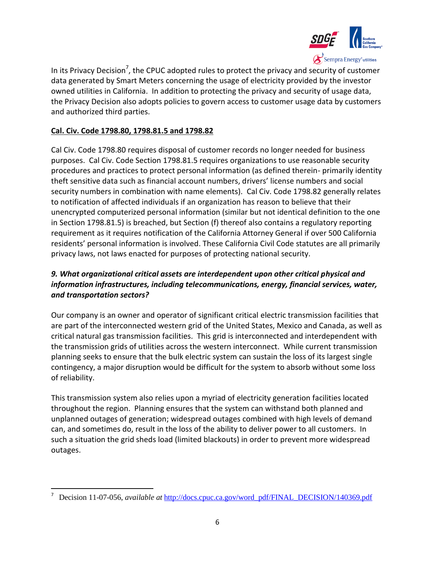

In its Privacy Decision<sup>7</sup>, the CPUC adopted rules to protect the privacy and security of customer data generated by Smart Meters concerning the usage of electricity provided by the investor owned utilities in California. In addition to protecting the privacy and security of usage data, the Privacy Decision also adopts policies to govern access to customer usage data by customers and authorized third parties.

# **Cal. Civ. Code 1798.80, 1798.81.5 and 1798.82**

 $\overline{\phantom{a}}$ 

Cal Civ. Code 1798.80 requires disposal of customer records no longer needed for business purposes. Cal Civ. Code Section 1798.81.5 requires organizations to use reasonable security procedures and practices to protect personal information (as defined therein- primarily identity theft sensitive data such as financial account numbers, drivers' license numbers and social security numbers in combination with name elements). Cal Civ. Code 1798.82 generally relates to notification of affected individuals if an organization has reason to believe that their unencrypted computerized personal information (similar but not identical definition to the one in Section 1798.81.5) is breached, but Section (f) thereof also contains a regulatory reporting requirement as it requires notification of the California Attorney General if over 500 California residents' personal information is involved. These California Civil Code statutes are all primarily privacy laws, not laws enacted for purposes of protecting national security.

# *9. What organizational critical assets are interdependent upon other critical physical and information infrastructures, including telecommunications, energy, financial services, water, and transportation sectors?*

Our company is an owner and operator of significant critical electric transmission facilities that are part of the interconnected western grid of the United States, Mexico and Canada, as well as critical natural gas transmission facilities. This grid is interconnected and interdependent with the transmission grids of utilities across the western interconnect. While current transmission planning seeks to ensure that the bulk electric system can sustain the loss of its largest single contingency, a major disruption would be difficult for the system to absorb without some loss of reliability.

This transmission system also relies upon a myriad of electricity generation facilities located throughout the region. Planning ensures that the system can withstand both planned and unplanned outages of generation; widespread outages combined with high levels of demand can, and sometimes do, result in the loss of the ability to deliver power to all customers. In such a situation the grid sheds load (limited blackouts) in order to prevent more widespread outages.

<sup>7</sup> Decision 11-07-056, *available at* [http://docs.cpuc.ca.gov/word\\_pdf/FINAL\\_DECISION/140369.pdf](http://docs.cpuc.ca.gov/word_pdf/FINAL_DECISION/140369.pdf)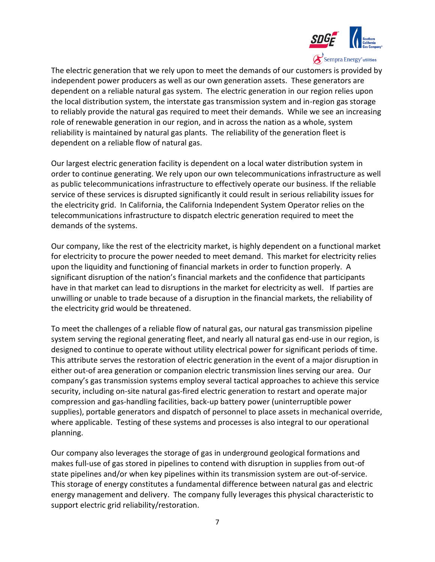

The electric generation that we rely upon to meet the demands of our customers is provided by independent power producers as well as our own generation assets. These generators are dependent on a reliable natural gas system. The electric generation in our region relies upon the local distribution system, the interstate gas transmission system and in-region gas storage to reliably provide the natural gas required to meet their demands. While we see an increasing role of renewable generation in our region, and in across the nation as a whole, system reliability is maintained by natural gas plants. The reliability of the generation fleet is dependent on a reliable flow of natural gas.

Our largest electric generation facility is dependent on a local water distribution system in order to continue generating. We rely upon our own telecommunications infrastructure as well as public telecommunications infrastructure to effectively operate our business. If the reliable service of these services is disrupted significantly it could result in serious reliability issues for the electricity grid. In California, the California Independent System Operator relies on the telecommunications infrastructure to dispatch electric generation required to meet the demands of the systems.

Our company, like the rest of the electricity market, is highly dependent on a functional market for electricity to procure the power needed to meet demand. This market for electricity relies upon the liquidity and functioning of financial markets in order to function properly. A significant disruption of the nation's financial markets and the confidence that participants have in that market can lead to disruptions in the market for electricity as well. If parties are unwilling or unable to trade because of a disruption in the financial markets, the reliability of the electricity grid would be threatened.

To meet the challenges of a reliable flow of natural gas, our natural gas transmission pipeline system serving the regional generating fleet, and nearly all natural gas end-use in our region, is designed to continue to operate without utility electrical power for significant periods of time. This attribute serves the restoration of electric generation in the event of a major disruption in either out-of area generation or companion electric transmission lines serving our area. Our company's gas transmission systems employ several tactical approaches to achieve this service security, including on-site natural gas-fired electric generation to restart and operate major compression and gas-handling facilities, back-up battery power (uninterruptible power supplies), portable generators and dispatch of personnel to place assets in mechanical override, where applicable. Testing of these systems and processes is also integral to our operational planning.

Our company also leverages the storage of gas in underground geological formations and makes full-use of gas stored in pipelines to contend with disruption in supplies from out-of state pipelines and/or when key pipelines within its transmission system are out-of-service. This storage of energy constitutes a fundamental difference between natural gas and electric energy management and delivery. The company fully leverages this physical characteristic to support electric grid reliability/restoration.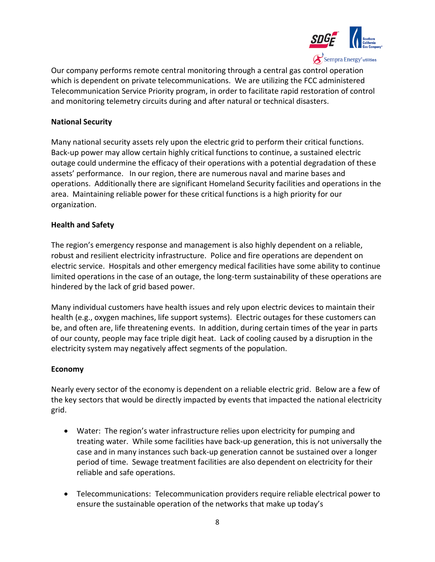

Our company performs remote central monitoring through a central gas control operation which is dependent on private telecommunications. We are utilizing the FCC administered Telecommunication Service Priority program, in order to facilitate rapid restoration of control and monitoring telemetry circuits during and after natural or technical disasters.

#### **National Security**

Many national security assets rely upon the electric grid to perform their critical functions. Back-up power may allow certain highly critical functions to continue, a sustained electric outage could undermine the efficacy of their operations with a potential degradation of these assets' performance. In our region, there are numerous naval and marine bases and operations. Additionally there are significant Homeland Security facilities and operations in the area. Maintaining reliable power for these critical functions is a high priority for our organization.

#### **Health and Safety**

The region's emergency response and management is also highly dependent on a reliable, robust and resilient electricity infrastructure. Police and fire operations are dependent on electric service. Hospitals and other emergency medical facilities have some ability to continue limited operations in the case of an outage, the long-term sustainability of these operations are hindered by the lack of grid based power.

Many individual customers have health issues and rely upon electric devices to maintain their health (e.g., oxygen machines, life support systems). Electric outages for these customers can be, and often are, life threatening events. In addition, during certain times of the year in parts of our county, people may face triple digit heat. Lack of cooling caused by a disruption in the electricity system may negatively affect segments of the population.

#### **Economy**

Nearly every sector of the economy is dependent on a reliable electric grid. Below are a few of the key sectors that would be directly impacted by events that impacted the national electricity grid.

- Water: The region's water infrastructure relies upon electricity for pumping and treating water. While some facilities have back-up generation, this is not universally the case and in many instances such back-up generation cannot be sustained over a longer period of time. Sewage treatment facilities are also dependent on electricity for their reliable and safe operations.
- Telecommunications: Telecommunication providers require reliable electrical power to ensure the sustainable operation of the networks that make up today's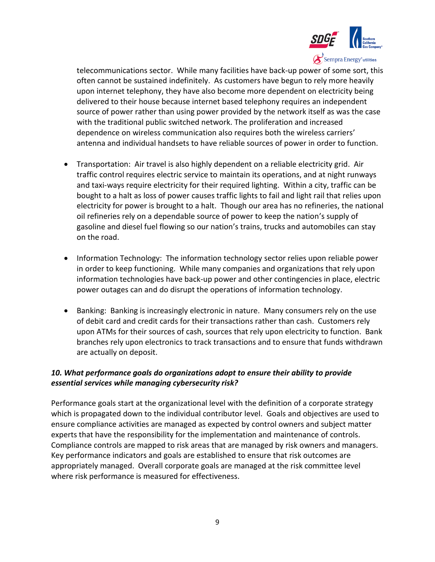

telecommunications sector. While many facilities have back-up power of some sort, this often cannot be sustained indefinitely. As customers have begun to rely more heavily upon internet telephony, they have also become more dependent on electricity being delivered to their house because internet based telephony requires an independent source of power rather than using power provided by the network itself as was the case with the traditional public switched network. The proliferation and increased dependence on wireless communication also requires both the wireless carriers' antenna and individual handsets to have reliable sources of power in order to function.

- Transportation: Air travel is also highly dependent on a reliable electricity grid. Air traffic control requires electric service to maintain its operations, and at night runways and taxi-ways require electricity for their required lighting. Within a city, traffic can be bought to a halt as loss of power causes traffic lights to fail and light rail that relies upon electricity for power is brought to a halt. Though our area has no refineries, the national oil refineries rely on a dependable source of power to keep the nation's supply of gasoline and diesel fuel flowing so our nation's trains, trucks and automobiles can stay on the road.
- Information Technology: The information technology sector relies upon reliable power in order to keep functioning. While many companies and organizations that rely upon information technologies have back-up power and other contingencies in place, electric power outages can and do disrupt the operations of information technology.
- Banking: Banking is increasingly electronic in nature. Many consumers rely on the use of debit card and credit cards for their transactions rather than cash. Customers rely upon ATMs for their sources of cash, sources that rely upon electricity to function. Bank branches rely upon electronics to track transactions and to ensure that funds withdrawn are actually on deposit.

# *10. What performance goals do organizations adopt to ensure their ability to provide essential services while managing cybersecurity risk?*

Performance goals start at the organizational level with the definition of a corporate strategy which is propagated down to the individual contributor level. Goals and objectives are used to ensure compliance activities are managed as expected by control owners and subject matter experts that have the responsibility for the implementation and maintenance of controls. Compliance controls are mapped to risk areas that are managed by risk owners and managers. Key performance indicators and goals are established to ensure that risk outcomes are appropriately managed. Overall corporate goals are managed at the risk committee level where risk performance is measured for effectiveness.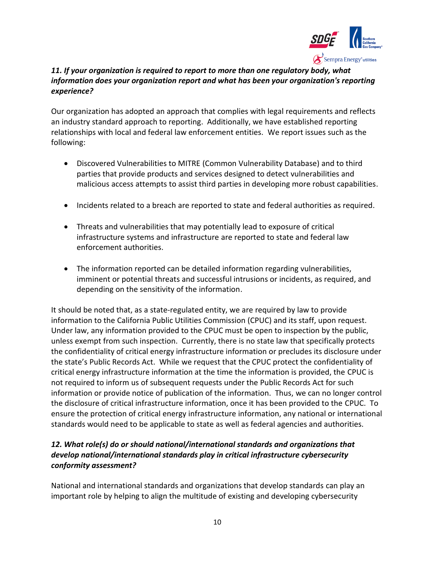

# *11. If your organization is required to report to more than one regulatory body, what information does your organization report and what has been your organization's reporting experience?*

Our organization has adopted an approach that complies with legal requirements and reflects an industry standard approach to reporting. Additionally, we have established reporting relationships with local and federal law enforcement entities. We report issues such as the following:

- Discovered Vulnerabilities to MITRE (Common Vulnerability Database) and to third parties that provide products and services designed to detect vulnerabilities and malicious access attempts to assist third parties in developing more robust capabilities.
- Incidents related to a breach are reported to state and federal authorities as required.
- Threats and vulnerabilities that may potentially lead to exposure of critical infrastructure systems and infrastructure are reported to state and federal law enforcement authorities.
- The information reported can be detailed information regarding vulnerabilities, imminent or potential threats and successful intrusions or incidents, as required, and depending on the sensitivity of the information.

It should be noted that, as a state-regulated entity, we are required by law to provide information to the California Public Utilities Commission (CPUC) and its staff, upon request. Under law, any information provided to the CPUC must be open to inspection by the public, unless exempt from such inspection. Currently, there is no state law that specifically protects the confidentiality of critical energy infrastructure information or precludes its disclosure under the state's Public Records Act. While we request that the CPUC protect the confidentiality of critical energy infrastructure information at the time the information is provided, the CPUC is not required to inform us of subsequent requests under the Public Records Act for such information or provide notice of publication of the information. Thus, we can no longer control the disclosure of critical infrastructure information, once it has been provided to the CPUC. To ensure the protection of critical energy infrastructure information, any national or international standards would need to be applicable to state as well as federal agencies and authorities.

# *12. What role(s) do or should national/international standards and organizations that develop national/international standards play in critical infrastructure cybersecurity conformity assessment?*

National and international standards and organizations that develop standards can play an important role by helping to align the multitude of existing and developing cybersecurity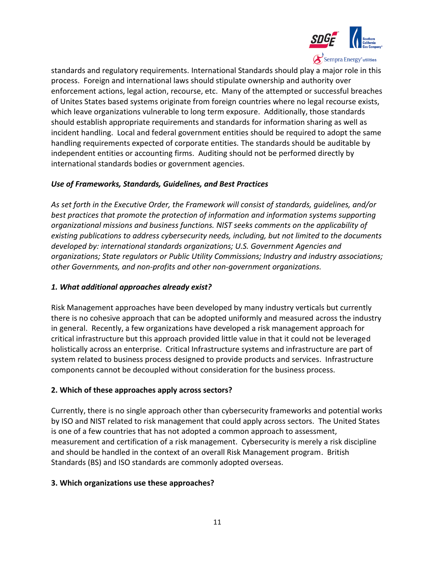

standards and regulatory requirements. International Standards should play a major role in this process. Foreign and international laws should stipulate ownership and authority over enforcement actions, legal action, recourse, etc. Many of the attempted or successful breaches of Unites States based systems originate from foreign countries where no legal recourse exists, which leave organizations vulnerable to long term exposure. Additionally, those standards should establish appropriate requirements and standards for information sharing as well as incident handling. Local and federal government entities should be required to adopt the same handling requirements expected of corporate entities. The standards should be auditable by independent entities or accounting firms. Auditing should not be performed directly by international standards bodies or government agencies.

### *Use of Frameworks, Standards, Guidelines, and Best Practices*

*As set forth in the Executive Order, the Framework will consist of standards, guidelines, and/or best practices that promote the protection of information and information systems supporting organizational missions and business functions. NIST seeks comments on the applicability of existing publications to address cybersecurity needs, including, but not limited to the documents developed by: international standards organizations; U.S. Government Agencies and organizations; State regulators or Public Utility Commissions; Industry and industry associations; other Governments, and non-profits and other non-government organizations.*

### *1. What additional approaches already exist?*

Risk Management approaches have been developed by many industry verticals but currently there is no cohesive approach that can be adopted uniformly and measured across the industry in general. Recently, a few organizations have developed a risk management approach for critical infrastructure but this approach provided little value in that it could not be leveraged holistically across an enterprise. Critical Infrastructure systems and infrastructure are part of system related to business process designed to provide products and services. Infrastructure components cannot be decoupled without consideration for the business process.

# **2. Which of these approaches apply across sectors?**

Currently, there is no single approach other than cybersecurity frameworks and potential works by ISO and NIST related to risk management that could apply across sectors. The United States is one of a few countries that has not adopted a common approach to assessment, measurement and certification of a risk management. Cybersecurity is merely a risk discipline and should be handled in the context of an overall Risk Management program. British Standards (BS) and ISO standards are commonly adopted overseas.

### **3. Which organizations use these approaches?**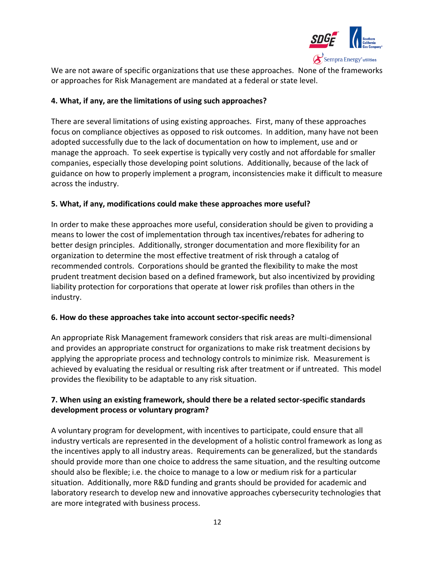

We are not aware of specific organizations that use these approaches. None of the frameworks or approaches for Risk Management are mandated at a federal or state level.

### **4. What, if any, are the limitations of using such approaches?**

There are several limitations of using existing approaches. First, many of these approaches focus on compliance objectives as opposed to risk outcomes. In addition, many have not been adopted successfully due to the lack of documentation on how to implement, use and or manage the approach. To seek expertise is typically very costly and not affordable for smaller companies, especially those developing point solutions. Additionally, because of the lack of guidance on how to properly implement a program, inconsistencies make it difficult to measure across the industry.

### **5. What, if any, modifications could make these approaches more useful?**

In order to make these approaches more useful, consideration should be given to providing a means to lower the cost of implementation through tax incentives/rebates for adhering to better design principles. Additionally, stronger documentation and more flexibility for an organization to determine the most effective treatment of risk through a catalog of recommended controls. Corporations should be granted the flexibility to make the most prudent treatment decision based on a defined framework, but also incentivized by providing liability protection for corporations that operate at lower risk profiles than others in the industry.

### **6. How do these approaches take into account sector-specific needs?**

An appropriate Risk Management framework considers that risk areas are multi-dimensional and provides an appropriate construct for organizations to make risk treatment decisions by applying the appropriate process and technology controls to minimize risk. Measurement is achieved by evaluating the residual or resulting risk after treatment or if untreated. This model provides the flexibility to be adaptable to any risk situation.

# **7. When using an existing framework, should there be a related sector-specific standards development process or voluntary program?**

A voluntary program for development, with incentives to participate, could ensure that all industry verticals are represented in the development of a holistic control framework as long as the incentives apply to all industry areas. Requirements can be generalized, but the standards should provide more than one choice to address the same situation, and the resulting outcome should also be flexible; i.e. the choice to manage to a low or medium risk for a particular situation. Additionally, more R&D funding and grants should be provided for academic and laboratory research to develop new and innovative approaches cybersecurity technologies that are more integrated with business process.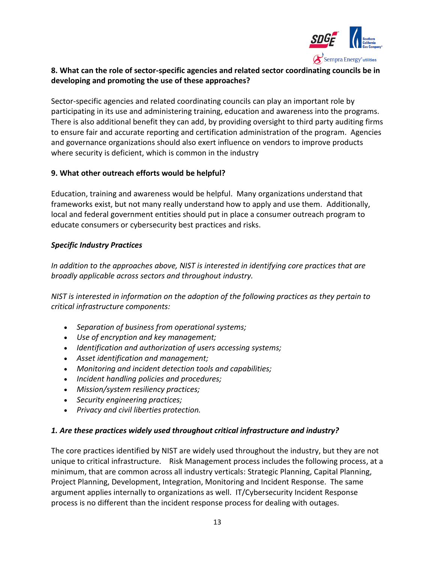

# **8. What can the role of sector-specific agencies and related sector coordinating councils be in developing and promoting the use of these approaches?**

Sector-specific agencies and related coordinating councils can play an important role by participating in its use and administering training, education and awareness into the programs. There is also additional benefit they can add, by providing oversight to third party auditing firms to ensure fair and accurate reporting and certification administration of the program. Agencies and governance organizations should also exert influence on vendors to improve products where security is deficient, which is common in the industry

### **9. What other outreach efforts would be helpful?**

Education, training and awareness would be helpful. Many organizations understand that frameworks exist, but not many really understand how to apply and use them. Additionally, local and federal government entities should put in place a consumer outreach program to educate consumers or cybersecurity best practices and risks.

#### *Specific Industry Practices*

*In addition to the approaches above, NIST is interested in identifying core practices that are broadly applicable across sectors and throughout industry.*

*NIST is interested in information on the adoption of the following practices as they pertain to critical infrastructure components:*

- *Separation of business from operational systems;*
- *Use of encryption and key management;*
- *Identification and authorization of users accessing systems;*
- *Asset identification and management;*
- *Monitoring and incident detection tools and capabilities;*
- *Incident handling policies and procedures;*
- *Mission/system resiliency practices;*
- *Security engineering practices;*
- *Privacy and civil liberties protection.*

### *1. Are these practices widely used throughout critical infrastructure and industry?*

The core practices identified by NIST are widely used throughout the industry, but they are not unique to critical infrastructure. Risk Management process includes the following process, at a minimum, that are common across all industry verticals: Strategic Planning, Capital Planning, Project Planning, Development, Integration, Monitoring and Incident Response. The same argument applies internally to organizations as well. IT/Cybersecurity Incident Response process is no different than the incident response process for dealing with outages.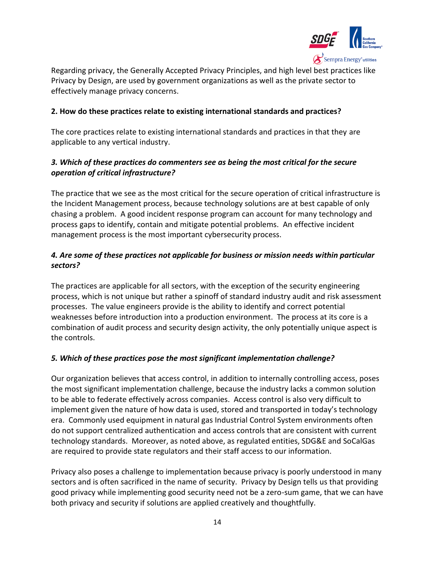

Regarding privacy, the Generally Accepted Privacy Principles, and high level best practices like Privacy by Design, are used by government organizations as well as the private sector to effectively manage privacy concerns.

### **2. How do these practices relate to existing international standards and practices?**

The core practices relate to existing international standards and practices in that they are applicable to any vertical industry.

### *3. Which of these practices do commenters see as being the most critical for the secure operation of critical infrastructure?*

The practice that we see as the most critical for the secure operation of critical infrastructure is the Incident Management process, because technology solutions are at best capable of only chasing a problem. A good incident response program can account for many technology and process gaps to identify, contain and mitigate potential problems. An effective incident management process is the most important cybersecurity process.

### *4. Are some of these practices not applicable for business or mission needs within particular sectors?*

The practices are applicable for all sectors, with the exception of the security engineering process, which is not unique but rather a spinoff of standard industry audit and risk assessment processes. The value engineers provide is the ability to identify and correct potential weaknesses before introduction into a production environment. The process at its core is a combination of audit process and security design activity, the only potentially unique aspect is the controls.

### *5. Which of these practices pose the most significant implementation challenge?*

Our organization believes that access control, in addition to internally controlling access, poses the most significant implementation challenge, because the industry lacks a common solution to be able to federate effectively across companies. Access control is also very difficult to implement given the nature of how data is used, stored and transported in today's technology era. Commonly used equipment in natural gas Industrial Control System environments often do not support centralized authentication and access controls that are consistent with current technology standards. Moreover, as noted above, as regulated entities, SDG&E and SoCalGas are required to provide state regulators and their staff access to our information.

Privacy also poses a challenge to implementation because privacy is poorly understood in many sectors and is often sacrificed in the name of security. Privacy by Design tells us that providing good privacy while implementing good security need not be a zero-sum game, that we can have both privacy and security if solutions are applied creatively and thoughtfully.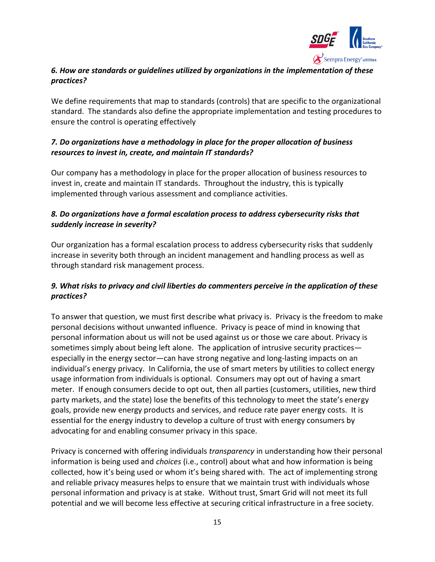

# *6. How are standards or guidelines utilized by organizations in the implementation of these practices?*

We define requirements that map to standards (controls) that are specific to the organizational standard. The standards also define the appropriate implementation and testing procedures to ensure the control is operating effectively

# *7. Do organizations have a methodology in place for the proper allocation of business resources to invest in, create, and maintain IT standards?*

Our company has a methodology in place for the proper allocation of business resources to invest in, create and maintain IT standards. Throughout the industry, this is typically implemented through various assessment and compliance activities.

# *8. Do organizations have a formal escalation process to address cybersecurity risks that suddenly increase in severity?*

Our organization has a formal escalation process to address cybersecurity risks that suddenly increase in severity both through an incident management and handling process as well as through standard risk management process.

# *9. What risks to privacy and civil liberties do commenters perceive in the application of these practices?*

To answer that question, we must first describe what privacy is. Privacy is the freedom to make personal decisions without unwanted influence. Privacy is peace of mind in knowing that personal information about us will not be used against us or those we care about. Privacy is sometimes simply about being left alone. The application of intrusive security practices especially in the energy sector—can have strong negative and long-lasting impacts on an individual's energy privacy. In California, the use of smart meters by utilities to collect energy usage information from individuals is optional. Consumers may opt out of having a smart meter. If enough consumers decide to opt out, then all parties (customers, utilities, new third party markets, and the state) lose the benefits of this technology to meet the state's energy goals, provide new energy products and services, and reduce rate payer energy costs. It is essential for the energy industry to develop a culture of trust with energy consumers by advocating for and enabling consumer privacy in this space.

Privacy is concerned with offering individuals *transparency* in understanding how their personal information is being used and *choices* (i.e., control) about what and how information is being collected, how it's being used or whom it's being shared with. The act of implementing strong and reliable privacy measures helps to ensure that we maintain trust with individuals whose personal information and privacy is at stake. Without trust, Smart Grid will not meet its full potential and we will become less effective at securing critical infrastructure in a free society.